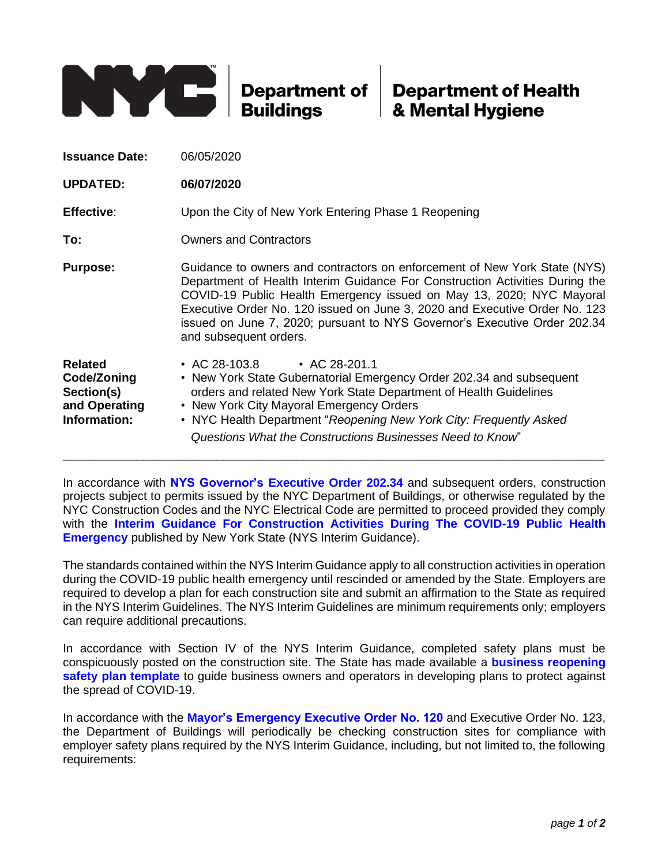

## **Department of Health** & Mental Hygiene

| <b>Issuance Date:</b>                                                        | 06/05/2020                                                                                                                                                                                                                                                                                                                                                                                                             |
|------------------------------------------------------------------------------|------------------------------------------------------------------------------------------------------------------------------------------------------------------------------------------------------------------------------------------------------------------------------------------------------------------------------------------------------------------------------------------------------------------------|
| <b>UPDATED:</b>                                                              | 06/07/2020                                                                                                                                                                                                                                                                                                                                                                                                             |
| <b>Effective:</b>                                                            | Upon the City of New York Entering Phase 1 Reopening                                                                                                                                                                                                                                                                                                                                                                   |
| To:                                                                          | <b>Owners and Contractors</b>                                                                                                                                                                                                                                                                                                                                                                                          |
| <b>Purpose:</b>                                                              | Guidance to owners and contractors on enforcement of New York State (NYS)<br>Department of Health Interim Guidance For Construction Activities During the<br>COVID-19 Public Health Emergency issued on May 13, 2020; NYC Mayoral<br>Executive Order No. 120 issued on June 3, 2020 and Executive Order No. 123<br>issued on June 7, 2020; pursuant to NYS Governor's Executive Order 202.34<br>and subsequent orders. |
| <b>Related</b><br>Code/Zoning<br>Section(s)<br>and Operating<br>Information: | $\cdot$ AC 28-103.8<br>• AC 28-201.1<br>• New York State Gubernatorial Emergency Order 202.34 and subsequent<br>orders and related New York State Department of Health Guidelines<br>• New York City Mayoral Emergency Orders<br>• NYC Health Department "Reopening New York City: Frequently Asked<br>Questions What the Constructions Businesses Need to Know"                                                       |

In accordance with **NYS Governor's [Executive Order 202.34](https://www.governor.ny.gov/news/no-20234-continuing-temporary-suspension-and-modification-laws-relating-disaster-emergency)** and subsequent orders, construction projects subject to permits issued by the NYC Department of Buildings, or otherwise regulated by the NYC Construction Codes and the NYC Electrical Code are permitted to proceed provided they comply with the **[Interim Guidance For Construction Activities During The COVID-19 Public Health](https://www.governor.ny.gov/sites/governor.ny.gov/files/atoms/files/ConstructionMasterGuidance.pdf)  [Emergency](https://www.governor.ny.gov/sites/governor.ny.gov/files/atoms/files/ConstructionMasterGuidance.pdf)** published by New York State (NYS Interim Guidance).

**\_\_\_\_\_\_\_\_\_\_\_\_\_\_\_\_\_\_\_\_\_\_\_\_\_\_\_\_\_\_\_\_\_\_\_\_\_\_\_\_\_\_\_\_\_\_\_\_\_\_\_\_\_\_\_\_\_\_\_\_\_\_\_\_\_\_\_\_\_\_\_\_\_\_\_\_\_\_\_\_\_**

The standards contained within the NYS Interim Guidance apply to all construction activities in operation during the COVID-19 public health emergency until rescinded or amended by the State. Employers are required to develop a plan for each construction site and submit an affirmation to the State as required in the NYS Interim Guidelines. The NYS Interim Guidelines are minimum requirements only; employers can require additional precautions.

In accordance with Section IV of the NYS Interim Guidance, completed safety plans must be conspicuously posted on the construction site. The State has made available a **[business reopening](https://www.governor.ny.gov/sites/governor.ny.gov/files/atoms/files/NYS_BusinessReopeningSafetyPlanTemplate.pdf)  [safety plan template](https://www.governor.ny.gov/sites/governor.ny.gov/files/atoms/files/NYS_BusinessReopeningSafetyPlanTemplate.pdf)** to guide business owners and operators in developing plans to protect against the spread of COVID-19.

In accordance with the **[Mayor's Emergency Executive Order No. 120](https://www1.nyc.gov/assets/home/downloads/pdf/executive-orders/2020/eeo-120.pdf)** and Executive Order No. 123, the Department of Buildings will periodically be checking construction sites for compliance with employer safety plans required by the NYS Interim Guidance, including, but not limited to, the following requirements: